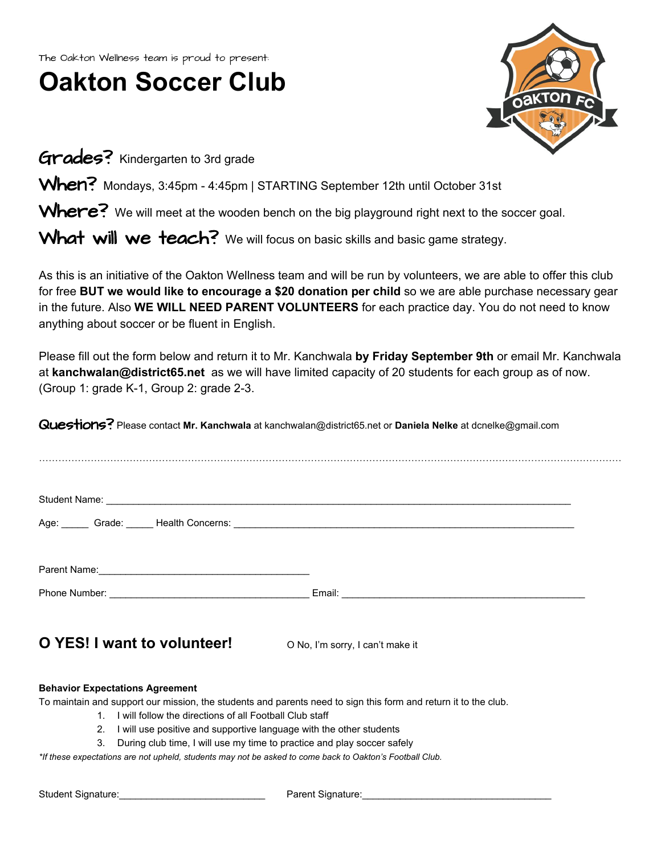The Oakton Wellness team is proud to present:

## **Oakton Soccer Club**



Grades? Kindergarten to 3rd grade

When? Mondays, 3:45pm - 4:45pm | STARTING September 12th until October 31st

Where? We will meet at the wooden bench on the big playground right next to the soccer goal.

What will we teach? We will focus on basic skills and basic game strategy.

As this is an initiative of the Oakton Wellness team and will be run by volunteers, we are able to offer this club for free **BUT we would like to encourage a \$20 donation per child** so we are able purchase necessary gear in the future. Also **WE WILL NEED PARENT VOLUNTEERS** for each practice day. You do not need to know anything about soccer or be fluent in English.

Please fill out the form below and return it to Mr. Kanchwala by Friday September 9th or email Mr. Kanchwala at **kanchwalan@district65.net** as we will have limited capacity of 20 students for each group as of now. (Group 1: grade K-1, Group 2: grade 2-3.

Questions? Please contact **Mr. Kanchwala** at kanchwalan@district65.net or **Daniela Nelke** at dcnelke@gmail.com

|                             | Age: Crade: Crade: Health Concerns: Company Content Concerns Content Content Content Content Content Content Content Content Content Content Content Content Content Content Content Content Content Content Content Content C |  |
|-----------------------------|--------------------------------------------------------------------------------------------------------------------------------------------------------------------------------------------------------------------------------|--|
|                             |                                                                                                                                                                                                                                |  |
|                             |                                                                                                                                                                                                                                |  |
|                             |                                                                                                                                                                                                                                |  |
|                             |                                                                                                                                                                                                                                |  |
| O YES! I want to volunteer! | O No, I'm sorry, I can't make it                                                                                                                                                                                               |  |
|                             |                                                                                                                                                                                                                                |  |

## **Behavior Expectations Agreement**

To maintain and support our mission, the students and parents need to sign this form and return it to the club.

- 1. I will follow the directions of all Football Club staff
- 2. I will use positive and supportive language with the other students
- 3. During club time, I will use my time to practice and play soccer safely

*\*If these expectations are not upheld, students may not be asked to come back to Oakton's Football Club.*

Student Signature:\_\_\_\_\_\_\_\_\_\_\_\_\_\_\_\_\_\_\_\_\_\_\_\_\_\_\_ Parent Signature:\_\_\_\_\_\_\_\_\_\_\_\_\_\_\_\_\_\_\_\_\_\_\_\_\_\_\_\_\_\_\_\_\_\_\_